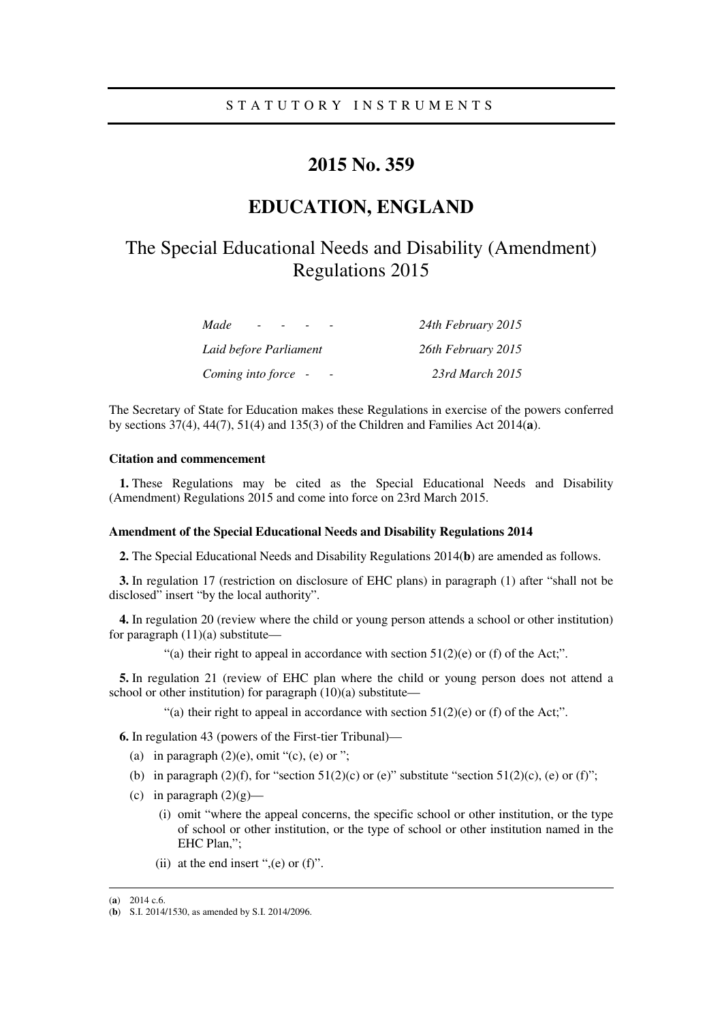# **2015 No. 359**

# **EDUCATION, ENGLAND**

# The Special Educational Needs and Disability (Amendment) Regulations 2015

| Made<br>$\overline{\phantom{0}}$ | 24th February 2015 |
|----------------------------------|--------------------|
| Laid before Parliament           | 26th February 2015 |
| Coming into force -              | 23rd March 2015    |

The Secretary of State for Education makes these Regulations in exercise of the powers conferred by sections 37(4), 44(7), 51(4) and 135(3) of the Children and Families Act 2014(**a**).

## **Citation and commencement**

**1.** These Regulations may be cited as the Special Educational Needs and Disability (Amendment) Regulations 2015 and come into force on 23rd March 2015.

#### **Amendment of the Special Educational Needs and Disability Regulations 2014**

**2.** The Special Educational Needs and Disability Regulations 2014(**b**) are amended as follows.

**3.** In regulation 17 (restriction on disclosure of EHC plans) in paragraph (1) after "shall not be disclosed" insert "by the local authority".

**4.** In regulation 20 (review where the child or young person attends a school or other institution) for paragraph  $(11)(a)$  substitute—

"(a) their right to appeal in accordance with section  $51(2)(e)$  or (f) of the Act;".

**5.** In regulation 21 (review of EHC plan where the child or young person does not attend a school or other institution) for paragraph (10)(a) substitute—

"(a) their right to appeal in accordance with section  $51(2)(e)$  or (f) of the Act;".

**6.** In regulation 43 (powers of the First-tier Tribunal)—

- (a) in paragraph  $(2)(e)$ , omit "(c), (e) or ";
- (b) in paragraph (2)(f), for "section  $51(2)(c)$  or (e)" substitute "section  $51(2)(c)$ , (e) or (f)";
- (c) in paragraph  $(2)(g)$ 
	- (i) omit "where the appeal concerns, the specific school or other institution, or the type of school or other institution, or the type of school or other institution named in the EHC Plan,";
	- (ii) at the end insert " $(e)$  or  $(f)$ ".

<u>.</u>

<sup>(</sup>**a**) 2014 c.6.

<sup>(</sup>**b**) S.I. 2014/1530, as amended by S.I. 2014/2096.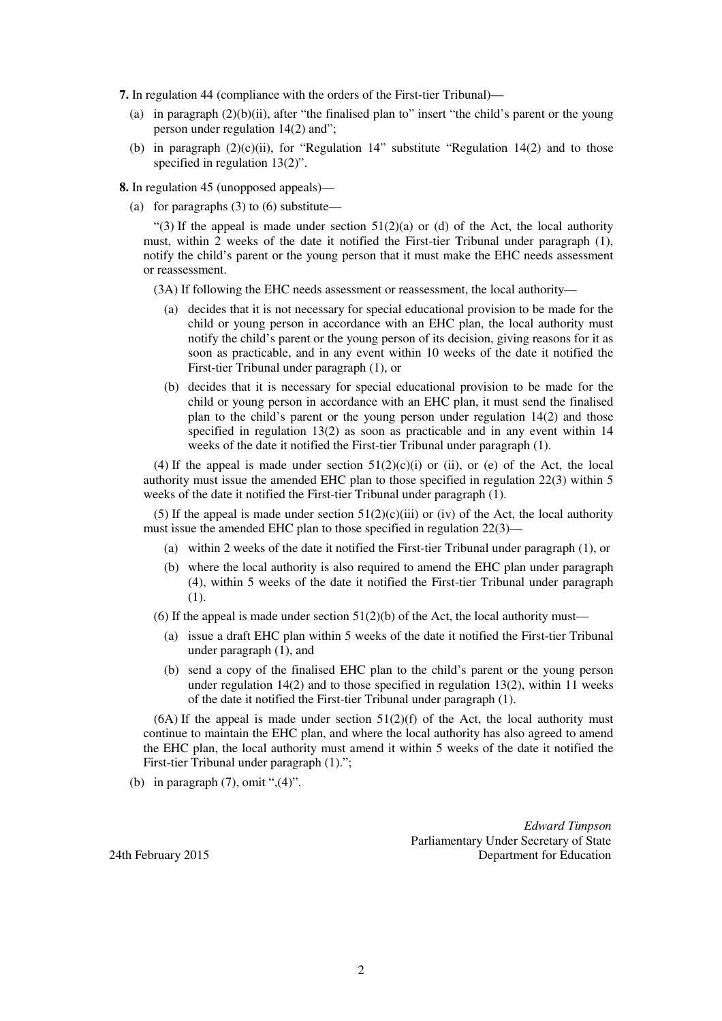**7.** In regulation 44 (compliance with the orders of the First-tier Tribunal)—

- (a) in paragraph  $(2)(b)(ii)$ , after "the finalised plan to" insert "the child's parent or the young person under regulation 14(2) and";
- (b) in paragraph  $(2)(c)(ii)$ , for "Regulation 14" substitute "Regulation 14 $(2)$  and to those specified in regulation 13(2)".

**8.** In regulation 45 (unopposed appeals)—

(a) for paragraphs  $(3)$  to  $(6)$  substitute—

"(3) If the appeal is made under section  $51(2)(a)$  or (d) of the Act, the local authority must, within 2 weeks of the date it notified the First-tier Tribunal under paragraph (1), notify the child's parent or the young person that it must make the EHC needs assessment or reassessment.

(3A) If following the EHC needs assessment or reassessment, the local authority—

- (a) decides that it is not necessary for special educational provision to be made for the child or young person in accordance with an EHC plan, the local authority must notify the child's parent or the young person of its decision, giving reasons for it as soon as practicable, and in any event within 10 weeks of the date it notified the First-tier Tribunal under paragraph (1), or
- (b) decides that it is necessary for special educational provision to be made for the child or young person in accordance with an EHC plan, it must send the finalised plan to the child's parent or the young person under regulation 14(2) and those specified in regulation 13(2) as soon as practicable and in any event within 14 weeks of the date it notified the First-tier Tribunal under paragraph (1).

(4) If the appeal is made under section  $51(2)(c)(i)$  or (ii), or (e) of the Act, the local authority must issue the amended EHC plan to those specified in regulation 22(3) within 5 weeks of the date it notified the First-tier Tribunal under paragraph (1).

(5) If the appeal is made under section  $51(2)(c)(iii)$  or (iv) of the Act, the local authority must issue the amended EHC plan to those specified in regulation 22(3)—

- (a) within 2 weeks of the date it notified the First-tier Tribunal under paragraph (1), or
- (b) where the local authority is also required to amend the EHC plan under paragraph (4), within 5 weeks of the date it notified the First-tier Tribunal under paragraph (1).
- (6) If the appeal is made under section  $51(2)(b)$  of the Act, the local authority must—
	- (a) issue a draft EHC plan within 5 weeks of the date it notified the First-tier Tribunal under paragraph (1), and
	- (b) send a copy of the finalised EHC plan to the child's parent or the young person under regulation 14(2) and to those specified in regulation 13(2), within 11 weeks of the date it notified the First-tier Tribunal under paragraph (1).

 $(6A)$  If the appeal is made under section  $51(2)(f)$  of the Act, the local authority must continue to maintain the EHC plan, and where the local authority has also agreed to amend the EHC plan, the local authority must amend it within 5 weeks of the date it notified the First-tier Tribunal under paragraph (1).";

(b) in paragraph  $(7)$ , omit ", $(4)$ ".

*Edward Timpson*  Parliamentary Under Secretary of State 24th February 2015 Department for Education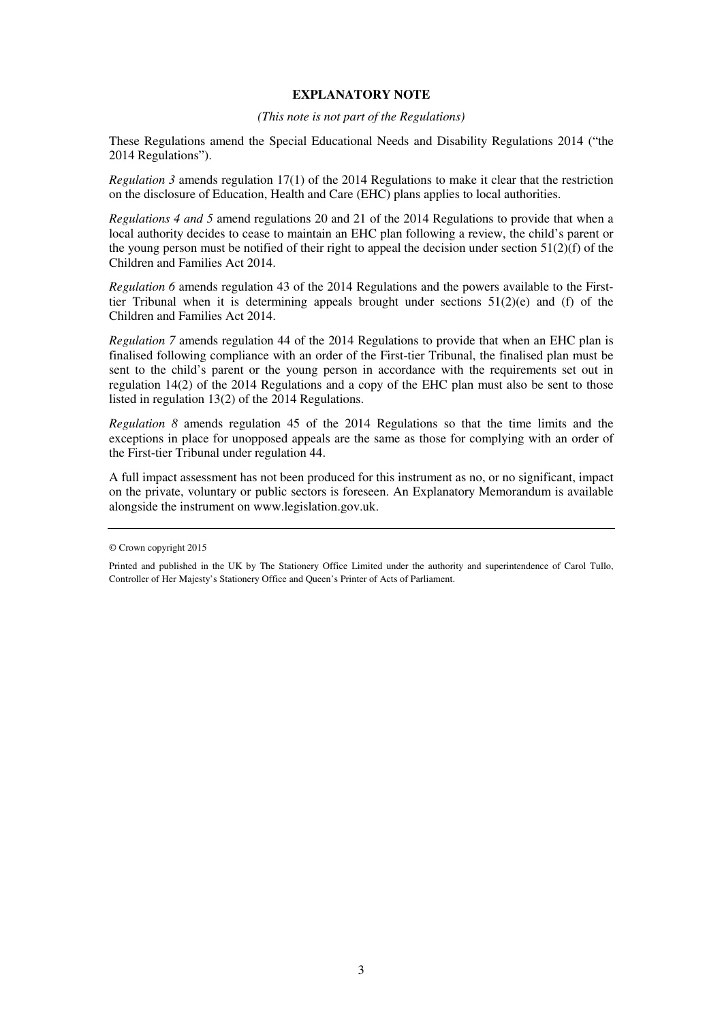### **EXPLANATORY NOTE**

#### *(This note is not part of the Regulations)*

These Regulations amend the Special Educational Needs and Disability Regulations 2014 ("the 2014 Regulations").

*Regulation 3* amends regulation 17(1) of the 2014 Regulations to make it clear that the restriction on the disclosure of Education, Health and Care (EHC) plans applies to local authorities.

*Regulations 4 and 5* amend regulations 20 and 21 of the 2014 Regulations to provide that when a local authority decides to cease to maintain an EHC plan following a review, the child's parent or the young person must be notified of their right to appeal the decision under section 51(2)(f) of the Children and Families Act 2014.

*Regulation 6* amends regulation 43 of the 2014 Regulations and the powers available to the Firsttier Tribunal when it is determining appeals brought under sections 51(2)(e) and (f) of the Children and Families Act 2014.

*Regulation 7* amends regulation 44 of the 2014 Regulations to provide that when an EHC plan is finalised following compliance with an order of the First-tier Tribunal, the finalised plan must be sent to the child's parent or the young person in accordance with the requirements set out in regulation 14(2) of the 2014 Regulations and a copy of the EHC plan must also be sent to those listed in regulation 13(2) of the 2014 Regulations.

*Regulation 8* amends regulation 45 of the 2014 Regulations so that the time limits and the exceptions in place for unopposed appeals are the same as those for complying with an order of the First-tier Tribunal under regulation 44.

A full impact assessment has not been produced for this instrument as no, or no significant, impact on the private, voluntary or public sectors is foreseen. An Explanatory Memorandum is available alongside the instrument on www.legislation.gov.uk.

<sup>©</sup> Crown copyright 2015

Printed and published in the UK by The Stationery Office Limited under the authority and superintendence of Carol Tullo, Controller of Her Majesty's Stationery Office and Queen's Printer of Acts of Parliament.